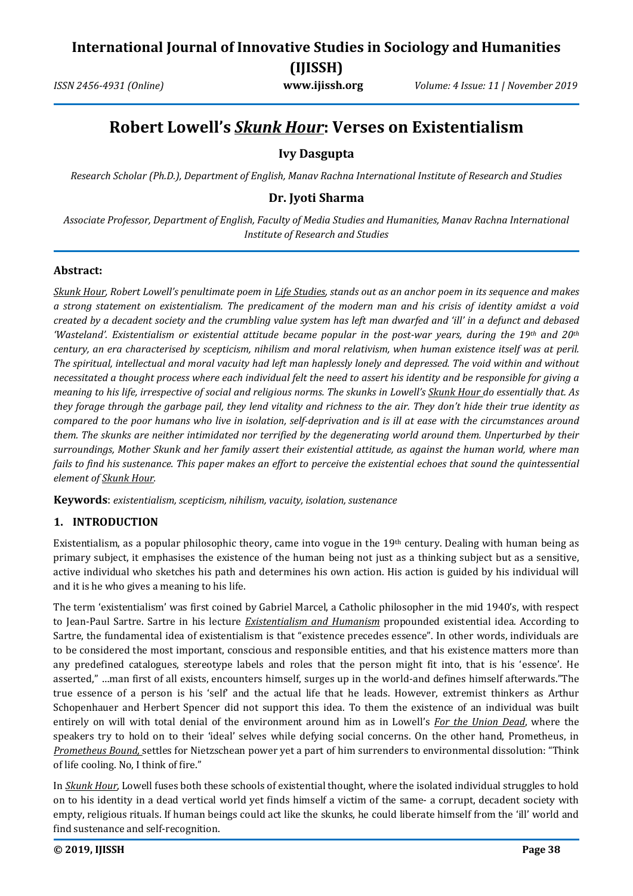## **International Journal of Innovative Studies in Sociology and Humanities (IJISSH)**

*ISSN 2456-4931 (Online)* **www.ijissh.org** *Volume: 4 Issue: 11 | November 2019*

# **Robert Lowell's** *Skunk Hour***: Verses on Existentialism**

### **Ivy Dasgupta**

*Research Scholar (Ph.D.), Department of English, Manav Rachna International Institute of Research and Studies*

### **Dr. Jyoti Sharma**

*Associate Professor, Department of English, Faculty of Media Studies and Humanities, Manav Rachna International Institute of Research and Studies*

#### **Abstract:**

*Skunk Hour, Robert Lowell's penultimate poem in Life Studies, stands out as an anchor poem in its sequence and makes a strong statement on existentialism. The predicament of the modern man and his crisis of identity amidst a void created by a decadent society and the crumbling value system has left man dwarfed and 'ill' in a defunct and debased 'Wasteland'. Existentialism or existential attitude became popular in the post-war years, during the 19th and 20th century, an era characterised by scepticism, nihilism and moral relativism, when human existence itself was at peril. The spiritual, intellectual and moral vacuity had left man haplessly lonely and depressed. The void within and without necessitated a thought process where each individual felt the need to assert his identity and be responsible for giving a meaning to his life, irrespective of social and religious norms. The skunks in Lowell's Skunk Hour do essentially that. As they forage through the garbage pail, they lend vitality and richness to the air. They don't hide their true identity as compared to the poor humans who live in isolation, self-deprivation and is ill at ease with the circumstances around them. The skunks are neither intimidated nor terrified by the degenerating world around them. Unperturbed by their surroundings, Mother Skunk and her family assert their existential attitude, as against the human world, where man fails to find his sustenance. This paper makes an effort to perceive the existential echoes that sound the quintessential element of Skunk Hour.*

**Keywords**: *existentialism, scepticism, nihilism, vacuity, isolation, sustenance*

### **1. INTRODUCTION**

Existentialism, as a popular philosophic theory, came into vogue in the 19th century. Dealing with human being as primary subject, it emphasises the existence of the human being not just as a thinking subject but as a sensitive, active individual who sketches his path and determines his own action. His action is guided by his individual will and it is he who gives a meaning to his life.

The term 'existentialism' was first coined by Gabriel Marcel, a Catholic philosopher in the mid 1940's, with respect to Jean-Paul Sartre. Sartre in his lecture *Existentialism and Humanism* propounded existential idea. According to Sartre, the fundamental idea of existentialism is that "existence precedes essence". In other words, individuals are to be considered the most important, conscious and responsible entities, and that his existence matters more than any predefined catalogues, stereotype labels and roles that the person might fit into, that is his 'essence'. He asserted," …man first of all exists, encounters himself, surges up in the world-and defines himself afterwards."The true essence of a person is his 'self' and the actual life that he leads. However, extremist thinkers as Arthur Schopenhauer and Herbert Spencer did not support this idea. To them the existence of an individual was built entirely on will with total denial of the environment around him as in Lowell's *For the Union Dead*, where the speakers try to hold on to their 'ideal' selves while defying social concerns. On the other hand, Prometheus, in *Prometheus Bound,* settles for Nietzschean power yet a part of him surrenders to environmental dissolution: "Think of life cooling. No, I think of fire."

In *Skunk Hour*, Lowell fuses both these schools of existential thought, where the isolated individual struggles to hold on to his identity in a dead vertical world yet finds himself a victim of the same- a corrupt, decadent society with empty, religious rituals. If human beings could act like the skunks, he could liberate himself from the 'ill' world and find sustenance and self-recognition.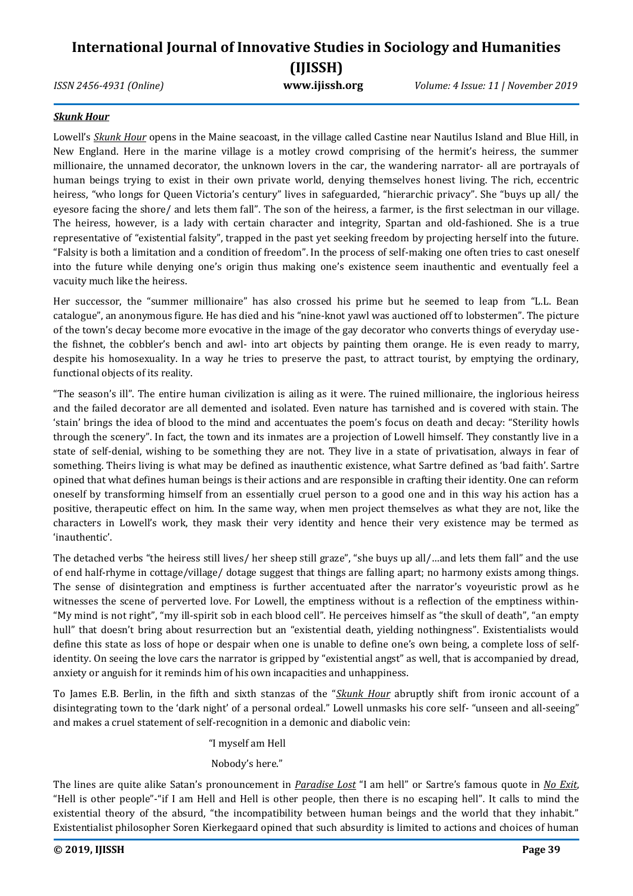# **International Journal of Innovative Studies in Sociology and Humanities (IJISSH)**

*ISSN 2456-4931 (Online)* **www.ijissh.org** *Volume: 4 Issue: 11 | November 2019*

### *Skunk Hour*

Lowell's *Skunk Hour* opens in the Maine seacoast, in the village called Castine near Nautilus Island and Blue Hill, in New England. Here in the marine village is a motley crowd comprising of the hermit's heiress, the summer millionaire, the unnamed decorator, the unknown lovers in the car, the wandering narrator- all are portrayals of human beings trying to exist in their own private world, denying themselves honest living. The rich, eccentric heiress, "who longs for Queen Victoria's century" lives in safeguarded, "hierarchic privacy". She "buys up all/ the eyesore facing the shore/ and lets them fall". The son of the heiress, a farmer, is the first selectman in our village. The heiress, however, is a lady with certain character and integrity, Spartan and old-fashioned. She is a true representative of "existential falsity", trapped in the past yet seeking freedom by projecting herself into the future. "Falsity is both a limitation and a condition of freedom". In the process of self-making one often tries to cast oneself into the future while denying one's origin thus making one's existence seem inauthentic and eventually feel a vacuity much like the heiress.

Her successor, the "summer millionaire" has also crossed his prime but he seemed to leap from "L.L. Bean catalogue", an anonymous figure. He has died and his "nine-knot yawl was auctioned off to lobstermen". The picture of the town's decay become more evocative in the image of the gay decorator who converts things of everyday usethe fishnet, the cobbler's bench and awl- into art objects by painting them orange. He is even ready to marry, despite his homosexuality. In a way he tries to preserve the past, to attract tourist, by emptying the ordinary, functional objects of its reality.

"The season's ill". The entire human civilization is ailing as it were. The ruined millionaire, the inglorious heiress and the failed decorator are all demented and isolated. Even nature has tarnished and is covered with stain. The 'stain' brings the idea of blood to the mind and accentuates the poem's focus on death and decay: "Sterility howls through the scenery". In fact, the town and its inmates are a projection of Lowell himself. They constantly live in a state of self-denial, wishing to be something they are not. They live in a state of privatisation, always in fear of something. Theirs living is what may be defined as inauthentic existence, what Sartre defined as 'bad faith'. Sartre opined that what defines human beings is their actions and are responsible in crafting their identity. One can reform oneself by transforming himself from an essentially cruel person to a good one and in this way his action has a positive, therapeutic effect on him. In the same way, when men project themselves as what they are not, like the characters in Lowell's work, they mask their very identity and hence their very existence may be termed as 'inauthentic'.

The detached verbs "the heiress still lives/ her sheep still graze", "she buys up all/…and lets them fall" and the use of end half-rhyme in cottage/village/ dotage suggest that things are falling apart; no harmony exists among things. The sense of disintegration and emptiness is further accentuated after the narrator's voyeuristic prowl as he witnesses the scene of perverted love. For Lowell, the emptiness without is a reflection of the emptiness within- "My mind is not right", "my ill-spirit sob in each blood cell". He perceives himself as "the skull of death", "an empty hull" that doesn't bring about resurrection but an "existential death, yielding nothingness". Existentialists would define this state as loss of hope or despair when one is unable to define one's own being, a complete loss of selfidentity. On seeing the love cars the narrator is gripped by "existential angst" as well, that is accompanied by dread, anxiety or anguish for it reminds him of his own incapacities and unhappiness.

To James E.B. Berlin, in the fifth and sixth stanzas of the "*Skunk Hour* abruptly shift from ironic account of a disintegrating town to the 'dark night' of a personal ordeal." Lowell unmasks his core self- "unseen and all-seeing" and makes a cruel statement of self-recognition in a demonic and diabolic vein:

"I myself am Hell

### Nobody's here."

The lines are quite alike Satan's pronouncement in *Paradise Lost* "I am hell" or Sartre's famous quote in *No Exit*, "Hell is other people"-"if I am Hell and Hell is other people, then there is no escaping hell". It calls to mind the existential theory of the absurd, "the incompatibility between human beings and the world that they inhabit." Existentialist philosopher Soren Kierkegaard opined that such absurdity is limited to actions and choices of human